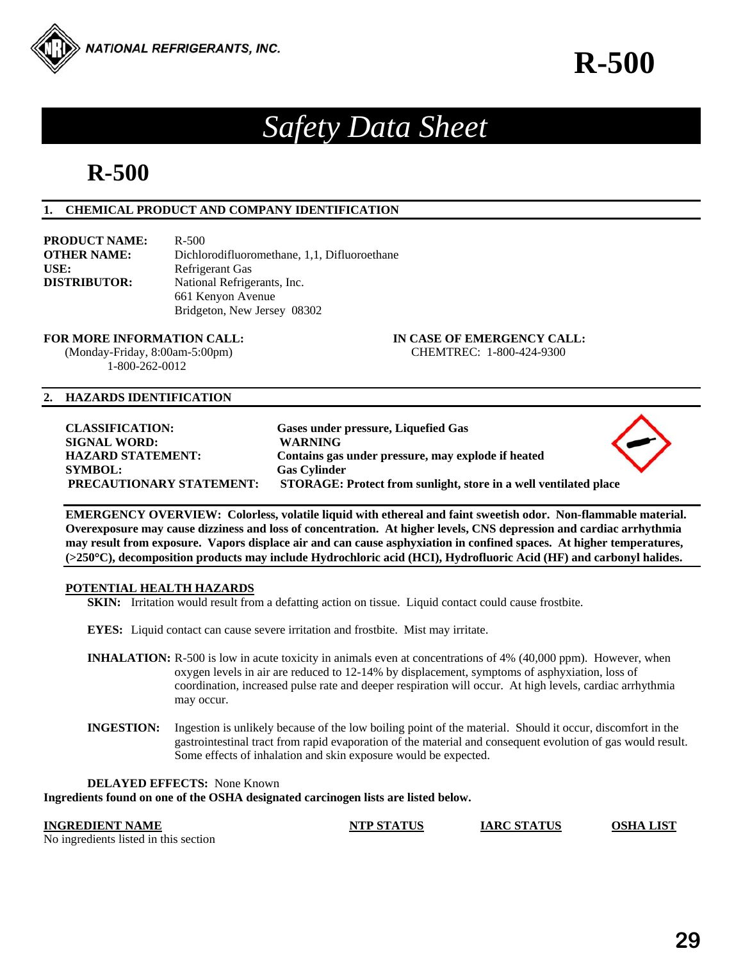

# *Safety Data Sheet*

# **R-500**

# **1. CHEMICAL PRODUCT AND COMPANY IDENTIFICATION**

**PRODUCT NAME:** R-500 **OTHER NAME:** Dichlorodifluoromethane, 1,1, Difluoroethane USE: Refrigerant Gas **DISTRIBUTOR:** National Refrigerants, Inc. 661 Kenyon Avenue Bridgeton, New Jersey 08302

 (Monday-Friday, 8:00am-5:00pm) CHEMTREC: 1-800-424-9300 1-800-262-0012

**FOR MORE INFORMATION CALL: IN CASE OF EMERGENCY CALL:** 

# **2. HAZARDS IDENTIFICATION**

| <b>CLASSIFICATION:</b>          | Gases under pressure, Liquefied Gas                              |  |
|---------------------------------|------------------------------------------------------------------|--|
| <b>SIGNAL WORD:</b>             | <b>WARNING</b>                                                   |  |
| <b>HAZARD STATEMENT:</b>        | Contains gas under pressure, may explode if heated               |  |
| <b>SYMBOL:</b>                  | <b>Gas Cylinder</b>                                              |  |
| <b>PRECAUTIONARY STATEMENT:</b> | STORAGE: Protect from sunlight, store in a well ventilated place |  |

**EMERGENCY OVERVIEW: Colorless, volatile liquid with ethereal and faint sweetish odor. Non-flammable material. Overexposure may cause dizziness and loss of concentration. At higher levels, CNS depression and cardiac arrhythmia may result from exposure. Vapors displace air and can cause asphyxiation in confined spaces. At higher temperatures, (>250C), decomposition products may include Hydrochloric acid (HCI), Hydrofluoric Acid (HF) and carbonyl halides.** 

# **POTENTIAL HEALTH HAZARDS**

**SKIN:** Irritation would result from a defatting action on tissue. Liquid contact could cause frostbite.

**EYES:** Liquid contact can cause severe irritation and frostbite. Mist may irritate.

- **INHALATION:** R-500 is low in acute toxicity in animals even at concentrations of 4% (40,000 ppm). However, when oxygen levels in air are reduced to 12-14% by displacement, symptoms of asphyxiation, loss of coordination, increased pulse rate and deeper respiration will occur. At high levels, cardiac arrhythmia may occur.
- **INGESTION:** Ingestion is unlikely because of the low boiling point of the material. Should it occur, discomfort in the gastrointestinal tract from rapid evaporation of the material and consequent evolution of gas would result. Some effects of inhalation and skin exposure would be expected.

**DELAYED EFFECTS:** None Known

**Ingredients found on one of the OSHA designated carcinogen lists are listed below.** 

**INGREDIENT NAME NTP STATUS IARC STATUS OSHA LIST**

No ingredients listed in this section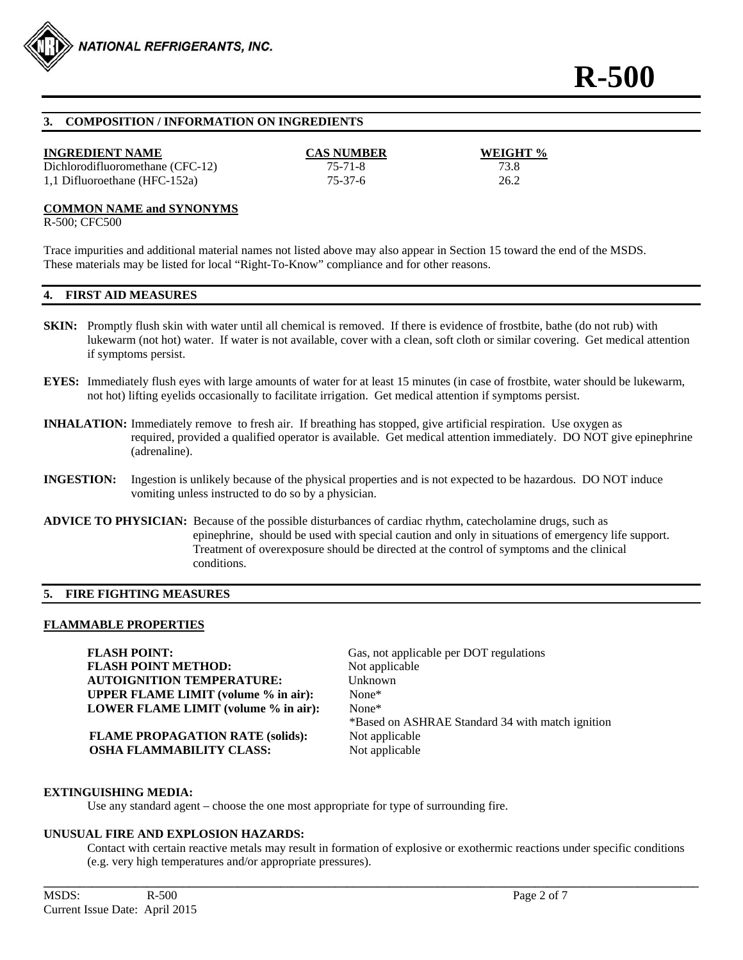

# **3. COMPOSITION / INFORMATION ON INGREDIENTS**

#### **INGREDIENT NAME CAS NUMBER WEIGHT %**

Dichlorodifluoromethane (CFC-12) 75-71-8 73.8 1,1 Difluoroethane (HFC-152a) 75-37-6 26.2

#### **COMMON NAME and SYNONYMS**

R-500; CFC500

Trace impurities and additional material names not listed above may also appear in Section 15 toward the end of the MSDS. These materials may be listed for local "Right-To-Know" compliance and for other reasons.

#### **4. FIRST AID MEASURES**

- **SKIN:** Promptly flush skin with water until all chemical is removed. If there is evidence of frostbite, bathe (do not rub) with lukewarm (not hot) water. If water is not available, cover with a clean, soft cloth or similar covering. Get medical attention if symptoms persist.
- **EYES:** Immediately flush eyes with large amounts of water for at least 15 minutes (in case of frostbite, water should be lukewarm, not hot) lifting eyelids occasionally to facilitate irrigation. Get medical attention if symptoms persist.
- **INHALATION:** Immediately remove to fresh air. If breathing has stopped, give artificial respiration. Use oxygen as required, provided a qualified operator is available. Get medical attention immediately. DO NOT give epinephrine (adrenaline).
- **INGESTION:** Ingestion is unlikely because of the physical properties and is not expected to be hazardous. DO NOT induce vomiting unless instructed to do so by a physician.
- **ADVICE TO PHYSICIAN:** Because of the possible disturbances of cardiac rhythm, catecholamine drugs, such as epinephrine, should be used with special caution and only in situations of emergency life support. Treatment of overexposure should be directed at the control of symptoms and the clinical conditions.

#### **5. FIRE FIGHTING MEASURES**

#### **FLAMMABLE PROPERTIES**

**FLASH POINT:** Gas, not applicable per DOT regulations **FLASH POINT METHOD:** Not applicable **AUTOIGNITION TEMPERATURE:** Unknown **UPPER FLAME LIMIT (volume % in air):** None\* **LOWER FLAME LIMIT (volume % in air):** None\*

**FLAME PROPAGATION RATE (solids):** Not applicable **OSHA FLAMMABILITY CLASS:** Not applicable

\*Based on ASHRAE Standard 34 with match ignition

#### **EXTINGUISHING MEDIA:**

Use any standard agent – choose the one most appropriate for type of surrounding fire.

#### **UNUSUAL FIRE AND EXPLOSION HAZARDS:**

 Contact with certain reactive metals may result in formation of explosive or exothermic reactions under specific conditions (e.g. very high temperatures and/or appropriate pressures).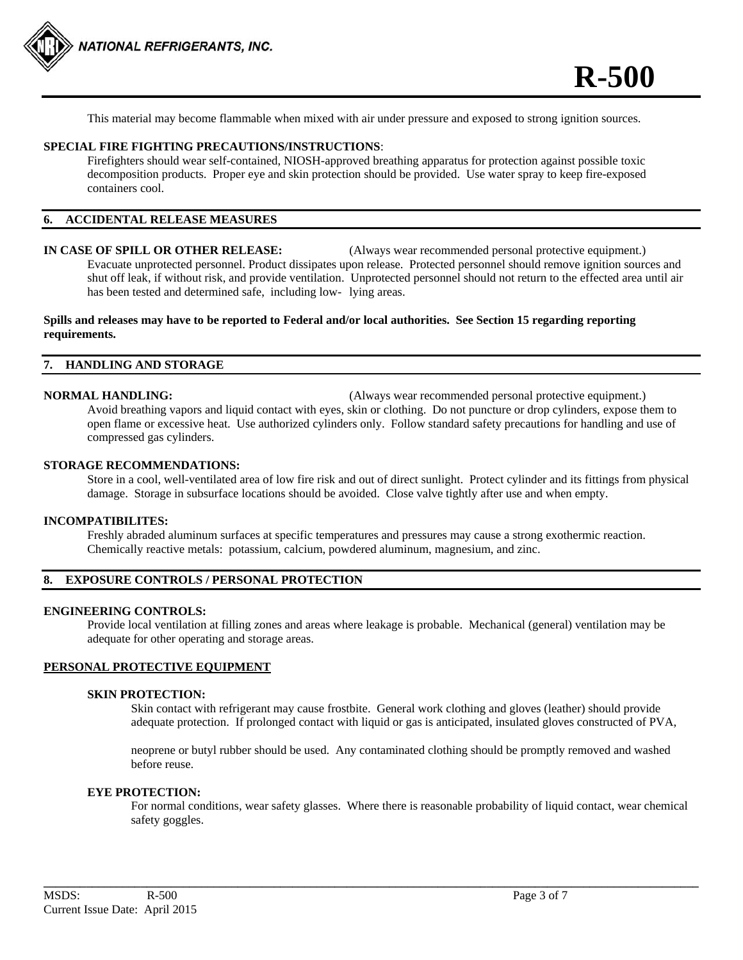

This material may become flammable when mixed with air under pressure and exposed to strong ignition sources.

#### **SPECIAL FIRE FIGHTING PRECAUTIONS/INSTRUCTIONS**:

 Firefighters should wear self-contained, NIOSH-approved breathing apparatus for protection against possible toxic decomposition products. Proper eye and skin protection should be provided. Use water spray to keep fire-exposed containers cool.

# **6. ACCIDENTAL RELEASE MEASURES**

## **IN CASE OF SPILL OR OTHER RELEASE:** (Always wear recommended personal protective equipment.) Evacuate unprotected personnel. Product dissipates upon release. Protected personnel should remove ignition sources and shut off leak, if without risk, and provide ventilation. Unprotected personnel should not return to the effected area until air has been tested and determined safe, including low- lying areas.

### **Spills and releases may have to be reported to Federal and/or local authorities. See Section 15 regarding reporting requirements.**

#### **7. HANDLING AND STORAGE**

**NORMAL HANDLING:** (Always wear recommended personal protective equipment.) Avoid breathing vapors and liquid contact with eyes, skin or clothing. Do not puncture or drop cylinders, expose them to open flame or excessive heat. Use authorized cylinders only. Follow standard safety precautions for handling and use of compressed gas cylinders.

### **STORAGE RECOMMENDATIONS:**

 Store in a cool, well-ventilated area of low fire risk and out of direct sunlight. Protect cylinder and its fittings from physical damage. Storage in subsurface locations should be avoided. Close valve tightly after use and when empty.

#### **INCOMPATIBILITES:**

Freshly abraded aluminum surfaces at specific temperatures and pressures may cause a strong exothermic reaction. Chemically reactive metals: potassium, calcium, powdered aluminum, magnesium, and zinc.

## **8. EXPOSURE CONTROLS / PERSONAL PROTECTION**

#### **ENGINEERING CONTROLS:**

 Provide local ventilation at filling zones and areas where leakage is probable. Mechanical (general) ventilation may be adequate for other operating and storage areas.

# **PERSONAL PROTECTIVE EQUIPMENT**

#### **SKIN PROTECTION:**

 Skin contact with refrigerant may cause frostbite. General work clothing and gloves (leather) should provide adequate protection. If prolonged contact with liquid or gas is anticipated, insulated gloves constructed of PVA,

 neoprene or butyl rubber should be used. Any contaminated clothing should be promptly removed and washed before reuse.

#### **EYE PROTECTION:**

For normal conditions, wear safety glasses. Where there is reasonable probability of liquid contact, wear chemical safety goggles.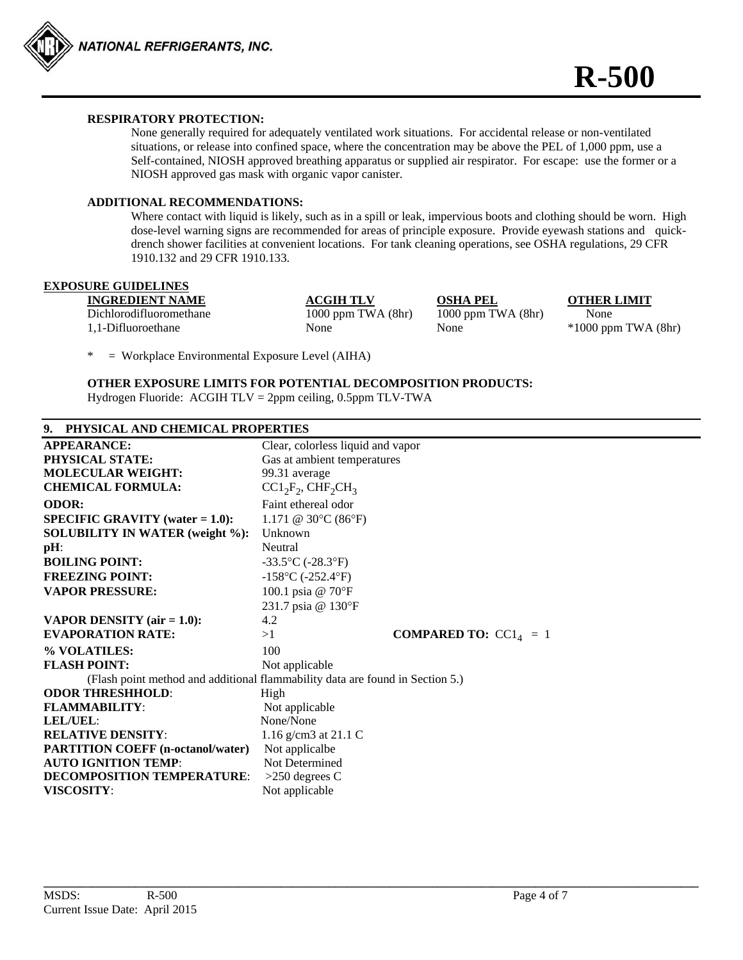

# **RESPIRATORY PROTECTION:**

None generally required for adequately ventilated work situations. For accidental release or non-ventilated situations, or release into confined space, where the concentration may be above the PEL of 1,000 ppm, use a Self-contained, NIOSH approved breathing apparatus or supplied air respirator. For escape: use the former or a NIOSH approved gas mask with organic vapor canister.

### **ADDITIONAL RECOMMENDATIONS:**

Where contact with liquid is likely, such as in a spill or leak, impervious boots and clothing should be worn. High dose-level warning signs are recommended for areas of principle exposure. Provide eyewash stations and quick drench shower facilities at convenient locations. For tank cleaning operations, see OSHA regulations, 29 CFR 1910.132 and 29 CFR 1910.133.

# **EXPOSURE GUIDELINES**

**INGREDIENT NAME ACGIH TLV OSHA PEL OTHER LIMIT** Dichlorodifluoromethane 1000 ppm TWA (8hr) 1000 ppm TWA (8hr) None 1,1-Difluoroethane None None None \*1000 ppm TWA (8hr)

 $=$  Workplace Environmental Exposure Level (AIHA)

**OTHER EXPOSURE LIMITS FOR POTENTIAL DECOMPOSITION PRODUCTS:**  Hydrogen Fluoride: ACGIH TLV = 2ppm ceiling, 0.5ppm TLV-TWA

# **9. PHYSICAL AND CHEMICAL PROPERTIES**

| <b>APPEARANCE:</b>                        | Clear, colorless liquid and vapor                                             |
|-------------------------------------------|-------------------------------------------------------------------------------|
| PHYSICAL STATE:                           | Gas at ambient temperatures                                                   |
| <b>MOLECULAR WEIGHT:</b>                  | 99.31 average                                                                 |
| <b>CHEMICAL FORMULA:</b>                  | $CC1_2F_2$ , $CHF_2CH_3$                                                      |
| <b>ODOR:</b>                              | Faint ethereal odor                                                           |
| <b>SPECIFIC GRAVITY</b> (water $= 1.0$ ): | 1.171 @ 30 $\rm{^{\circ}C}$ (86 $\rm{^{\circ}F}$ )                            |
| <b>SOLUBILITY IN WATER (weight %):</b>    | Unknown                                                                       |
| $pH$ :                                    | Neutral                                                                       |
| <b>BOILING POINT:</b>                     | $-33.5$ °C (-28.3°F)                                                          |
| <b>FREEZING POINT:</b>                    | $-158$ °C (-252.4°F)                                                          |
| <b>VAPOR PRESSURE:</b>                    | 100.1 psia @ 70°F                                                             |
|                                           | 231.7 psia @ 130°F                                                            |
| <b>VAPOR DENSITY</b> (air $= 1.0$ ):      | 4.2                                                                           |
| <b>EVAPORATION RATE:</b>                  | <b>COMPARED TO:</b> $CC14 = 1$<br>>1                                          |
| % VOLATILES:                              | 100                                                                           |
| <b>FLASH POINT:</b>                       | Not applicable                                                                |
|                                           | (Flash point method and additional flammability data are found in Section 5.) |
| <b>ODOR THRESHHOLD:</b>                   | High                                                                          |
| <b>FLAMMABILITY:</b>                      | Not applicable                                                                |
| LEL/UEL:                                  | None/None                                                                     |
| <b>RELATIVE DENSITY:</b>                  | 1.16 g/cm3 at 21.1 C                                                          |
| <b>PARTITION COEFF (n-octanol/water)</b>  | Not applicalbe                                                                |
| <b>AUTO IGNITION TEMP:</b>                | Not Determined                                                                |
| <b>DECOMPOSITION TEMPERATURE:</b>         | $>250$ degrees C                                                              |
| <b>VISCOSITY:</b>                         | Not applicable                                                                |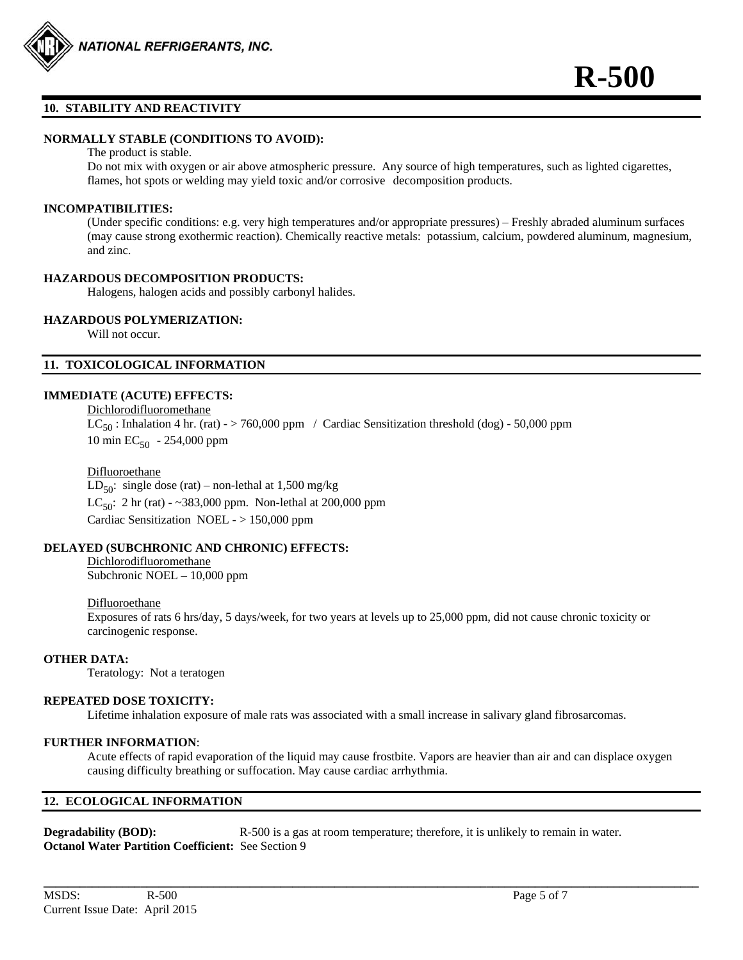

#### **10. STABILITY AND REACTIVITY**

#### **NORMALLY STABLE (CONDITIONS TO AVOID):**

#### The product is stable.

Do not mix with oxygen or air above atmospheric pressure. Any source of high temperatures, such as lighted cigarettes, flames, hot spots or welding may yield toxic and/or corrosive decomposition products.

#### **INCOMPATIBILITIES:**

(Under specific conditions: e.g. very high temperatures and/or appropriate pressures) – Freshly abraded aluminum surfaces (may cause strong exothermic reaction). Chemically reactive metals: potassium, calcium, powdered aluminum, magnesium, and zinc.

#### **HAZARDOUS DECOMPOSITION PRODUCTS:**

Halogens, halogen acids and possibly carbonyl halides.

# **HAZARDOUS POLYMERIZATION:**

Will not occur.

### **11. TOXICOLOGICAL INFORMATION**

### **IMMEDIATE (ACUTE) EFFECTS:**

 Dichlorodifluoromethane  $LC_{50}$ : Inhalation 4 hr. (rat) - > 760,000 ppm / Cardiac Sensitization threshold (dog) - 50,000 ppm 10 min  $EC_{50}$  - 254,000 ppm

#### Difluoroethane

LD<sub>50</sub>: single dose (rat) – non-lethal at 1,500 mg/kg  $LC_{50}$ : 2 hr (rat) - ~383,000 ppm. Non-lethal at 200,000 ppm Cardiac Sensitization NOEL - > 150,000 ppm

### **DELAYED (SUBCHRONIC AND CHRONIC) EFFECTS:**

#### Dichlorodifluoromethane Subchronic NOEL – 10,000 ppm

# Difluoroethane

 Exposures of rats 6 hrs/day, 5 days/week, for two years at levels up to 25,000 ppm, did not cause chronic toxicity or carcinogenic response.

#### **OTHER DATA:**

Teratology: Not a teratogen

# **REPEATED DOSE TOXICITY:**

Lifetime inhalation exposure of male rats was associated with a small increase in salivary gland fibrosarcomas.

#### **FURTHER INFORMATION**:

Acute effects of rapid evaporation of the liquid may cause frostbite. Vapors are heavier than air and can displace oxygen causing difficulty breathing or suffocation. May cause cardiac arrhythmia.

**\_\_\_\_\_\_\_\_\_\_\_\_\_\_\_\_\_\_\_\_\_\_\_\_\_\_\_\_\_\_\_\_\_\_\_\_\_\_\_\_\_\_\_\_\_\_\_\_\_\_\_\_\_\_\_\_\_\_\_\_\_\_\_\_\_\_\_\_\_\_\_\_\_\_\_\_\_\_\_\_\_\_\_\_\_\_\_\_\_\_\_\_\_\_\_\_\_\_\_\_\_\_\_\_\_\_\_\_** 

# **12. ECOLOGICAL INFORMATION**

**Degradability (BOD):** R-500 is a gas at room temperature; therefore, it is unlikely to remain in water. **Octanol Water Partition Coefficient:** See Section 9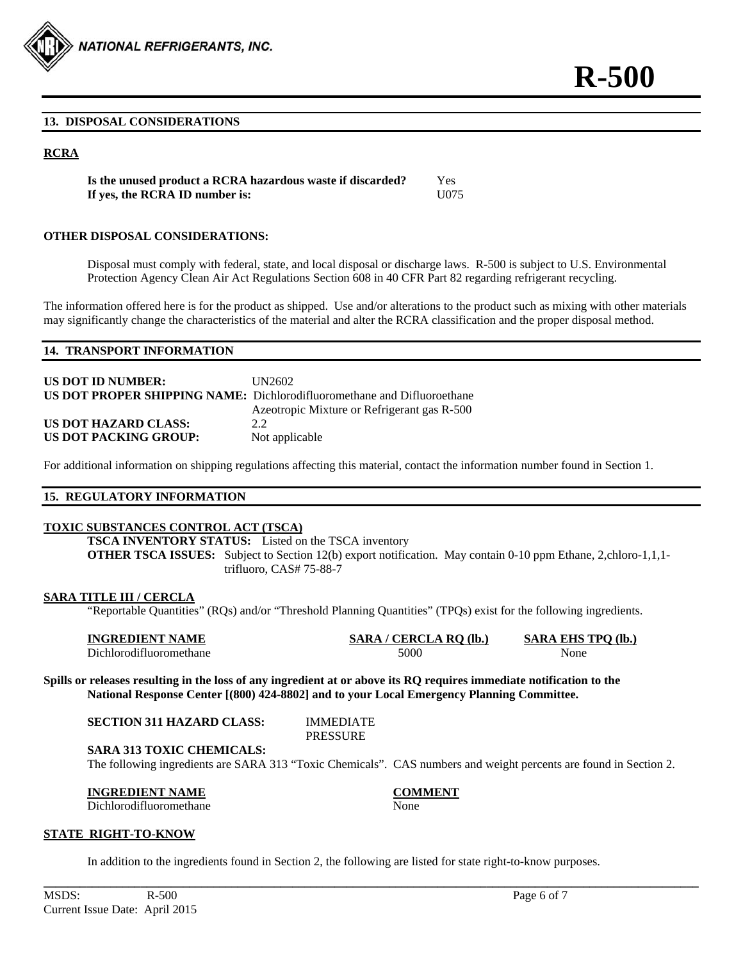

#### **13. DISPOSAL CONSIDERATIONS**

# **RCRA**

**Is the unused product a RCRA hazardous waste if discarded?** Yes **If yes, the RCRA ID number is:** U075

#### **OTHER DISPOSAL CONSIDERATIONS:**

Disposal must comply with federal, state, and local disposal or discharge laws. R-500 is subject to U.S. Environmental Protection Agency Clean Air Act Regulations Section 608 in 40 CFR Part 82 regarding refrigerant recycling.

The information offered here is for the product as shipped. Use and/or alterations to the product such as mixing with other materials may significantly change the characteristics of the material and alter the RCRA classification and the proper disposal method.

#### **14. TRANSPORT INFORMATION**

| <b>US DOT ID NUMBER:</b> | UN2602                                                                         |
|--------------------------|--------------------------------------------------------------------------------|
|                          | <b>US DOT PROPER SHIPPING NAME:</b> Dichlorodifluoromethane and Difluoroethane |
|                          | Azeotropic Mixture or Refrigerant gas R-500                                    |
| US DOT HAZARD CLASS:     | 22                                                                             |
| US DOT PACKING GROUP:    | Not applicable                                                                 |

For additional information on shipping regulations affecting this material, contact the information number found in Section 1.

#### **15. REGULATORY INFORMATION**

#### **TOXIC SUBSTANCES CONTROL ACT (TSCA)**

**TSCA INVENTORY STATUS:** Listed on the TSCA inventory **OTHER TSCA ISSUES:** Subject to Section 12(b) export notification. May contain 0-10 ppm Ethane, 2,chloro-1,1,1trifluoro, CAS# 75-88-7

#### **SARA TITLE III / CERCLA**

"Reportable Quantities" (RQs) and/or "Threshold Planning Quantities" (TPQs) exist for the following ingredients.

| <b>INGREDIENT NAME</b>  | CERCLA RQ (lb.,<br>SARA / C | <b>SARA EHS TPO (lb.)</b> |
|-------------------------|-----------------------------|---------------------------|
| Dichlorodifluoromethane | 5000                        | None                      |

**Spills or releases resulting in the loss of any ingredient at or above its RQ requires immediate notification to the National Response Center [(800) 424-8802] and to your Local Emergency Planning Committee.** 

| SECTION 311 HAZARD CLASS: |  |  |  |  |
|---------------------------|--|--|--|--|
|---------------------------|--|--|--|--|

**IMMEDIATE** PRESSURE

**SARA 313 TOXIC CHEMICALS:** 

The following ingredients are SARA 313 "Toxic Chemicals". CAS numbers and weight percents are found in Section 2.

**\_\_\_\_\_\_\_\_\_\_\_\_\_\_\_\_\_\_\_\_\_\_\_\_\_\_\_\_\_\_\_\_\_\_\_\_\_\_\_\_\_\_\_\_\_\_\_\_\_\_\_\_\_\_\_\_\_\_\_\_\_\_\_\_\_\_\_\_\_\_\_\_\_\_\_\_\_\_\_\_\_\_\_\_\_\_\_\_\_\_\_\_\_\_\_\_\_\_\_\_\_\_\_\_\_\_\_\_** 

**INGREDIENT NAME COMMENT** Dichlorodifluoromethane None

#### **STATE RIGHT-TO-KNOW**

In addition to the ingredients found in Section 2, the following are listed for state right-to-know purposes.